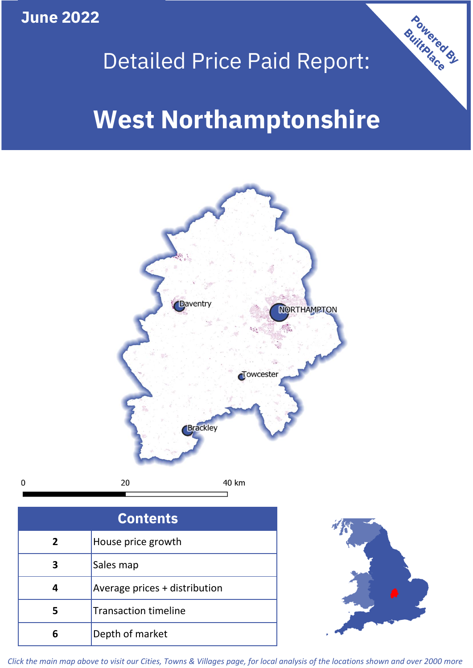**June 2022**

 $\mathbf 0$ 

## Detailed Price Paid Report:

# **West Northamptonshire**



| <b>Contents</b> |                               |  |  |
|-----------------|-------------------------------|--|--|
| $\overline{2}$  | House price growth            |  |  |
| 3               | Sales map                     |  |  |
|                 | Average prices + distribution |  |  |
| 5               | <b>Transaction timeline</b>   |  |  |
| 6               | Depth of market               |  |  |



Powered By

*Click the main map above to visit our Cities, Towns & Villages page, for local analysis of the locations shown and over 2000 more*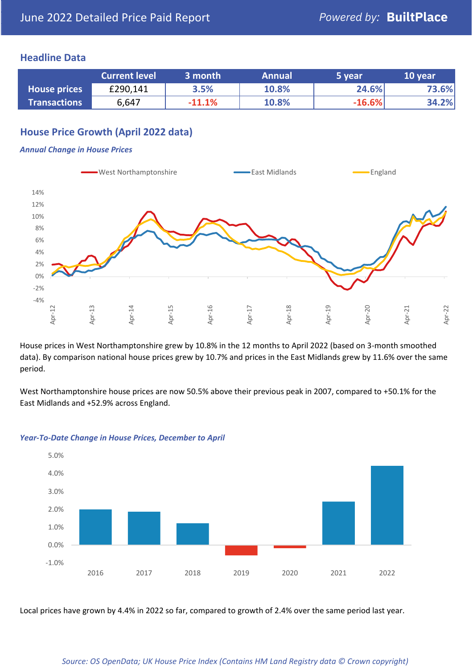## **Headline Data**

|                     | <b>Current level</b> | 3 month  | <b>Annual</b> | 5 year   | 10 year |
|---------------------|----------------------|----------|---------------|----------|---------|
| <b>House prices</b> | £290,141             | 3.5%     | 10.8%         | 24.6%    | 73.6%   |
| <b>Transactions</b> | 6,647                | $-11.1%$ | 10.8%         | $-16.6%$ | 34.2%   |

## **House Price Growth (April 2022 data)**

#### *Annual Change in House Prices*



House prices in West Northamptonshire grew by 10.8% in the 12 months to April 2022 (based on 3-month smoothed data). By comparison national house prices grew by 10.7% and prices in the East Midlands grew by 11.6% over the same period.

West Northamptonshire house prices are now 50.5% above their previous peak in 2007, compared to +50.1% for the East Midlands and +52.9% across England.



#### *Year-To-Date Change in House Prices, December to April*

Local prices have grown by 4.4% in 2022 so far, compared to growth of 2.4% over the same period last year.

#### *Source: OS OpenData; UK House Price Index (Contains HM Land Registry data © Crown copyright)*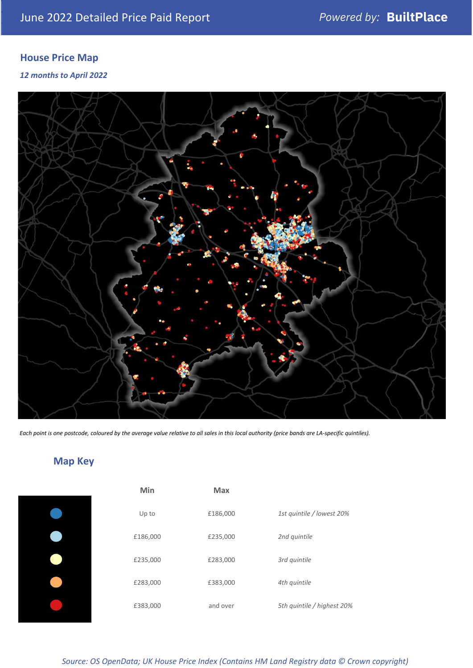## **House Price Map**

## *12 months to April 2022*



*Each point is one postcode, coloured by the average value relative to all sales in this local authority (price bands are LA-specific quintiles).*

## **Map Key**

| Min      | <b>Max</b> |                            |
|----------|------------|----------------------------|
| Up to    | £186,000   | 1st quintile / lowest 20%  |
| £186,000 | £235,000   | 2nd quintile               |
| £235,000 | £283,000   | 3rd quintile               |
| £283,000 | £383,000   | 4th quintile               |
| £383,000 | and over   | 5th quintile / highest 20% |

*Source: OS OpenData; UK House Price Index (Contains HM Land Registry data © Crown copyright)*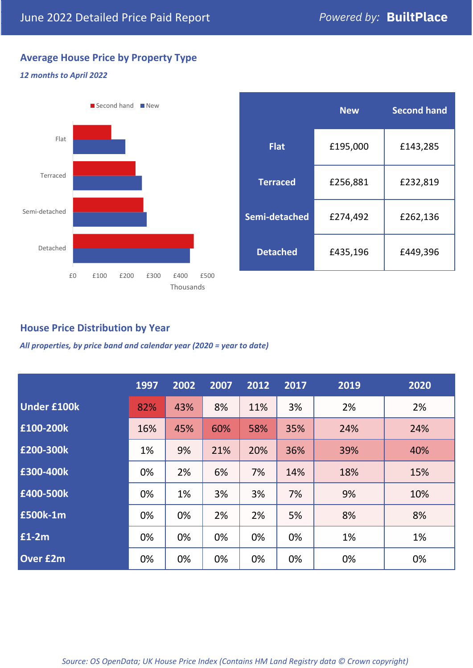## **Average House Price by Property Type**

#### *12 months to April 2022*



|                 | <b>New</b> | <b>Second hand</b> |  |  |
|-----------------|------------|--------------------|--|--|
| <b>Flat</b>     | £195,000   | £143,285           |  |  |
| <b>Terraced</b> | £256,881   | £232,819           |  |  |
| Semi-detached   | £274,492   | £262,136           |  |  |
| <b>Detached</b> | £435,196   | £449,396           |  |  |

## **House Price Distribution by Year**

*All properties, by price band and calendar year (2020 = year to date)*

|                    | 1997 | 2002 | 2007 | 2012 | 2017 | 2019 | 2020 |
|--------------------|------|------|------|------|------|------|------|
| <b>Under £100k</b> | 82%  | 43%  | 8%   | 11%  | 3%   | 2%   | 2%   |
| £100-200k          | 16%  | 45%  | 60%  | 58%  | 35%  | 24%  | 24%  |
| E200-300k          | 1%   | 9%   | 21%  | 20%  | 36%  | 39%  | 40%  |
| £300-400k          | 0%   | 2%   | 6%   | 7%   | 14%  | 18%  | 15%  |
| £400-500k          | 0%   | 1%   | 3%   | 3%   | 7%   | 9%   | 10%  |
| <b>£500k-1m</b>    | 0%   | 0%   | 2%   | 2%   | 5%   | 8%   | 8%   |
| £1-2m              | 0%   | 0%   | 0%   | 0%   | 0%   | 1%   | 1%   |
| <b>Over £2m</b>    | 0%   | 0%   | 0%   | 0%   | 0%   | 0%   | 0%   |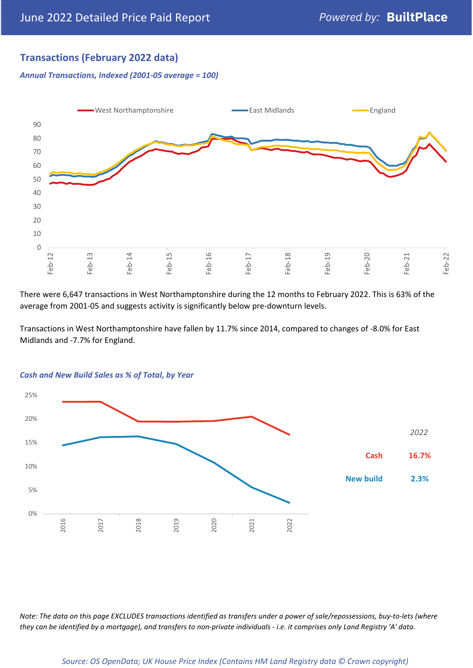## **Transactions (February 2022 data)**

*Annual Transactions, Indexed (2001-05 average = 100)*



There were 6,647 transactions in West Northamptonshire during the 12 months to February 2022. This is 63% of the average from 2001-05 and suggests activity is significantly below pre-downturn levels.

Transactions in West Northamptonshire have fallen by 11.7% since 2014, compared to changes of -8.0% for East Midlands and -7.7% for England.



#### *Cash and New Build Sales as % of Total, by Year*

*Note: The data on this page EXCLUDES transactions identified as transfers under a power of sale/repossessions, buy-to-lets (where they can be identified by a mortgage), and transfers to non-private individuals - i.e. it comprises only Land Registry 'A' data.*